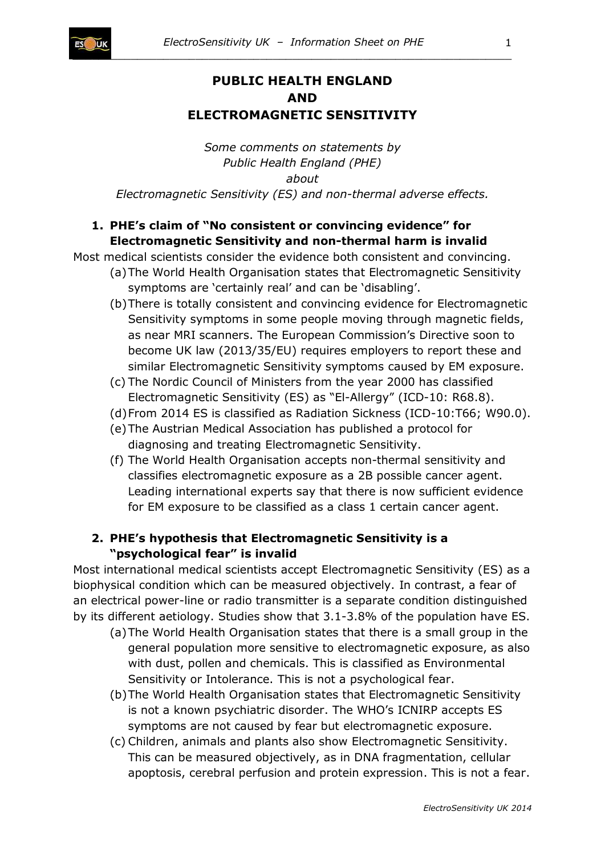

# **PUBLIC HEALTH ENGLAND AND ELECTROMAGNETIC SENSITIVITY**

*Some comments on statements by Public Health England (PHE) about Electromagnetic Sensitivity (ES) and non-thermal adverse effects.*

## **1. PHE's claim of "No consistent or convincing evidence" for Electromagnetic Sensitivity and non-thermal harm is invalid**

Most medical scientists consider the evidence both consistent and convincing.

- (a)The World Health Organisation states that Electromagnetic Sensitivity symptoms are 'certainly real' and can be 'disabling'.
- (b)There is totally consistent and convincing evidence for Electromagnetic Sensitivity symptoms in some people moving through magnetic fields, as near MRI scanners. The European Commission's Directive soon to become UK law (2013/35/EU) requires employers to report these and similar Electromagnetic Sensitivity symptoms caused by EM exposure.
- (c) The Nordic Council of Ministers from the year 2000 has classified Electromagnetic Sensitivity (ES) as "El-Allergy" (ICD-10: R68.8).
- (d)From 2014 ES is classified as Radiation Sickness (ICD-10:T66; W90.0).
- (e)The Austrian Medical Association has published a protocol for diagnosing and treating Electromagnetic Sensitivity.
- (f) The World Health Organisation accepts non-thermal sensitivity and classifies electromagnetic exposure as a 2B possible cancer agent. Leading international experts say that there is now sufficient evidence for EM exposure to be classified as a class 1 certain cancer agent.

### **2. PHE's hypothesis that Electromagnetic Sensitivity is a "psychological fear" is invalid**

Most international medical scientists accept Electromagnetic Sensitivity (ES) as a biophysical condition which can be measured objectively. In contrast, a fear of an electrical power-line or radio transmitter is a separate condition distinguished by its different aetiology. Studies show that 3.1-3.8% of the population have ES.

- (a)The World Health Organisation states that there is a small group in the general population more sensitive to electromagnetic exposure, as also with dust, pollen and chemicals. This is classified as Environmental Sensitivity or Intolerance. This is not a psychological fear.
- (b)The World Health Organisation states that Electromagnetic Sensitivity is not a known psychiatric disorder. The WHO's ICNIRP accepts ES symptoms are not caused by fear but electromagnetic exposure.
- (c) Children, animals and plants also show Electromagnetic Sensitivity. This can be measured objectively, as in DNA fragmentation, cellular apoptosis, cerebral perfusion and protein expression. This is not a fear.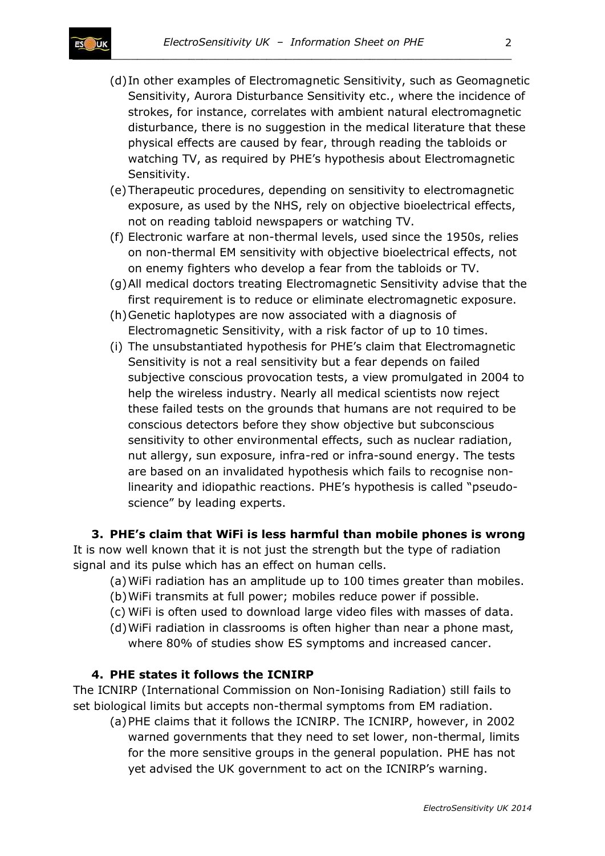

- (d)In other examples of Electromagnetic Sensitivity, such as Geomagnetic Sensitivity, Aurora Disturbance Sensitivity etc., where the incidence of strokes, for instance, correlates with ambient natural electromagnetic disturbance, there is no suggestion in the medical literature that these physical effects are caused by fear, through reading the tabloids or watching TV, as required by PHE's hypothesis about Electromagnetic Sensitivity.
- (e)Therapeutic procedures, depending on sensitivity to electromagnetic exposure, as used by the NHS, rely on objective bioelectrical effects, not on reading tabloid newspapers or watching TV.
- (f) Electronic warfare at non-thermal levels, used since the 1950s, relies on non-thermal EM sensitivity with objective bioelectrical effects, not on enemy fighters who develop a fear from the tabloids or TV.
- (g)All medical doctors treating Electromagnetic Sensitivity advise that the first requirement is to reduce or eliminate electromagnetic exposure.
- (h)Genetic haplotypes are now associated with a diagnosis of Electromagnetic Sensitivity, with a risk factor of up to 10 times.
- (i) The unsubstantiated hypothesis for PHE's claim that Electromagnetic Sensitivity is not a real sensitivity but a fear depends on failed subjective conscious provocation tests, a view promulgated in 2004 to help the wireless industry. Nearly all medical scientists now reject these failed tests on the grounds that humans are not required to be conscious detectors before they show objective but subconscious sensitivity to other environmental effects, such as nuclear radiation, nut allergy, sun exposure, infra-red or infra-sound energy. The tests are based on an invalidated hypothesis which fails to recognise nonlinearity and idiopathic reactions. PHE's hypothesis is called "pseudoscience" by leading experts.

**3. PHE's claim that WiFi is less harmful than mobile phones is wrong** It is now well known that it is not just the strength but the type of radiation signal and its pulse which has an effect on human cells.

- (a)WiFi radiation has an amplitude up to 100 times greater than mobiles.
- (b)WiFi transmits at full power; mobiles reduce power if possible.
- (c) WiFi is often used to download large video files with masses of data.
- (d)WiFi radiation in classrooms is often higher than near a phone mast, where 80% of studies show ES symptoms and increased cancer.

#### **4. PHE states it follows the ICNIRP**

The ICNIRP (International Commission on Non-Ionising Radiation) still fails to set biological limits but accepts non-thermal symptoms from EM radiation.

(a)PHE claims that it follows the ICNIRP. The ICNIRP, however, in 2002 warned governments that they need to set lower, non-thermal, limits for the more sensitive groups in the general population. PHE has not yet advised the UK government to act on the ICNIRP's warning.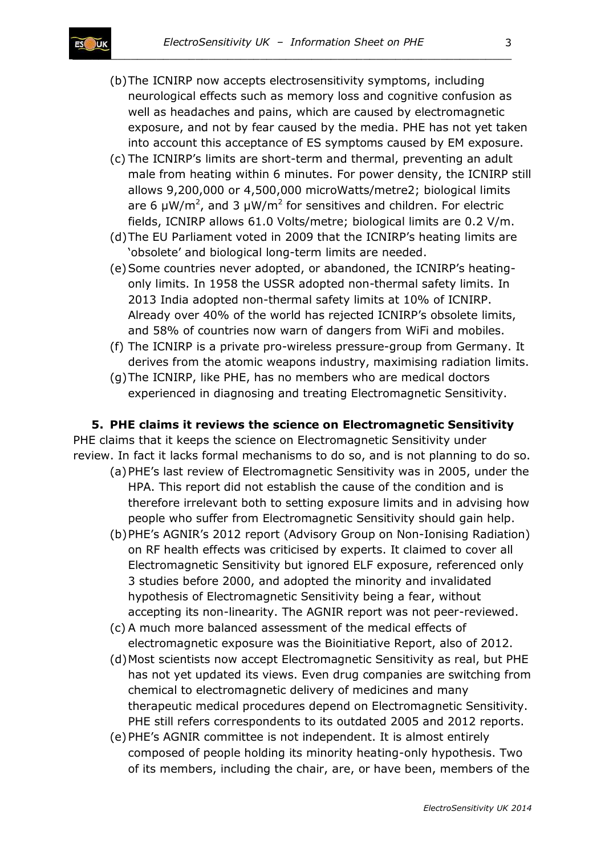- (b)The ICNIRP now accepts electrosensitivity symptoms, including neurological effects such as memory loss and cognitive confusion as well as headaches and pains, which are caused by electromagnetic exposure, and not by fear caused by the media. PHE has not yet taken into account this acceptance of ES symptoms caused by EM exposure.
- (c) The ICNIRP's limits are short-term and thermal, preventing an adult male from heating within 6 minutes. For power density, the ICNIRP still allows 9,200,000 or 4,500,000 microWatts/metre2; biological limits are 6  $\mu$ W/m<sup>2</sup>, and 3  $\mu$ W/m<sup>2</sup> for sensitives and children. For electric fields, ICNIRP allows 61.0 Volts/metre; biological limits are 0.2 V/m.
- (d)The EU Parliament voted in 2009 that the ICNIRP's heating limits are 'obsolete' and biological long-term limits are needed.
- (e)Some countries never adopted, or abandoned, the ICNIRP's heatingonly limits. In 1958 the USSR adopted non-thermal safety limits. In 2013 India adopted non-thermal safety limits at 10% of ICNIRP. Already over 40% of the world has rejected ICNIRP's obsolete limits, and 58% of countries now warn of dangers from WiFi and mobiles.
- (f) The ICNIRP is a private pro-wireless pressure-group from Germany. It derives from the atomic weapons industry, maximising radiation limits.
- (g)The ICNIRP, like PHE, has no members who are medical doctors experienced in diagnosing and treating Electromagnetic Sensitivity.

#### **5. PHE claims it reviews the science on Electromagnetic Sensitivity**

PHE claims that it keeps the science on Electromagnetic Sensitivity under review. In fact it lacks formal mechanisms to do so, and is not planning to do so.

- (a)PHE's last review of Electromagnetic Sensitivity was in 2005, under the HPA. This report did not establish the cause of the condition and is therefore irrelevant both to setting exposure limits and in advising how people who suffer from Electromagnetic Sensitivity should gain help.
- (b)PHE's AGNIR's 2012 report (Advisory Group on Non-Ionising Radiation) on RF health effects was criticised by experts. It claimed to cover all Electromagnetic Sensitivity but ignored ELF exposure, referenced only 3 studies before 2000, and adopted the minority and invalidated hypothesis of Electromagnetic Sensitivity being a fear, without accepting its non-linearity. The AGNIR report was not peer-reviewed.
- (c) A much more balanced assessment of the medical effects of electromagnetic exposure was the Bioinitiative Report, also of 2012.
- (d)Most scientists now accept Electromagnetic Sensitivity as real, but PHE has not yet updated its views. Even drug companies are switching from chemical to electromagnetic delivery of medicines and many therapeutic medical procedures depend on Electromagnetic Sensitivity. PHE still refers correspondents to its outdated 2005 and 2012 reports.
- (e)PHE's AGNIR committee is not independent. It is almost entirely composed of people holding its minority heating-only hypothesis. Two of its members, including the chair, are, or have been, members of the